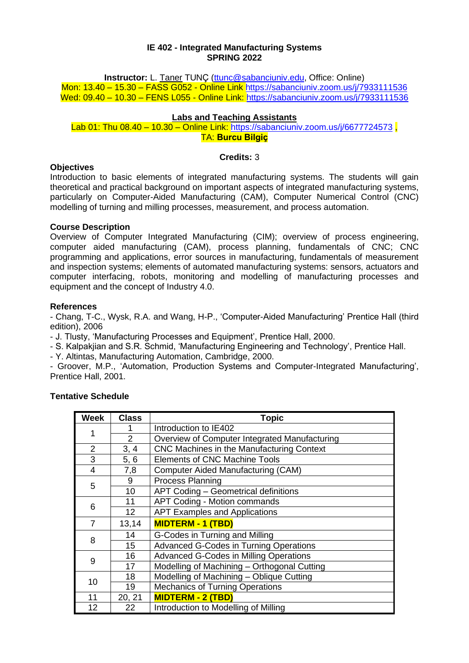#### **IE 402 - Integrated Manufacturing Systems SPRING 2022**

**Instructor:** L. Taner TUNC [\(ttunc@sabanciuniv.edu,](mailto:ttunc@sabanciuniv.edu) Office: Online) Mon: 13.40 – 15.30 – FASS G052 - Online Link<https://sabanciuniv.zoom.us/j/7933111536> Wed: 09.40 – 10.30 – FENS L055 - Online Link:<https://sabanciuniv.zoom.us/j/7933111536>

# **Labs and Teaching Assistants**

Lab 01: Thu 08.40 – 10.30 – Online Link: https://sabanciuniv.zoom.us/i/6677724573 TA: **Burcu Bilgiç**

### **Credits:** 3

### **Objectives**

Introduction to basic elements of integrated manufacturing systems. The students will gain theoretical and practical background on important aspects of integrated manufacturing systems, particularly on Computer-Aided Manufacturing (CAM), Computer Numerical Control (CNC) modelling of turning and milling processes, measurement, and process automation.

# **Course Description**

Overview of Computer Integrated Manufacturing (CIM); overview of process engineering, computer aided manufacturing (CAM), process planning, fundamentals of CNC; CNC programming and applications, error sources in manufacturing, fundamentals of measurement and inspection systems; elements of automated manufacturing systems: sensors, actuators and computer interfacing, robots, monitoring and modelling of manufacturing processes and equipment and the concept of Industry 4.0.

### **References**

- Chang, T-C., Wysk, R.A. and Wang, H-P., 'Computer-Aided Manufacturing' Prentice Hall (third edition), 2006

- J. Tlusty, 'Manufacturing Processes and Equipment', Prentice Hall, 2000.

- S. Kalpakjian and S.R. Schmid, 'Manufacturing Engineering and Technology', Prentice Hall.

- Y. Altintas, Manufacturing Automation, Cambridge, 2000.

- Groover, M.P., 'Automation, Production Systems and Computer-Integrated Manufacturing', Prentice Hall, 2001.

| <b>Week</b>    | <b>Class</b>    | <b>Topic</b>                                  |  |
|----------------|-----------------|-----------------------------------------------|--|
|                |                 | Introduction to IE402                         |  |
|                | $\overline{2}$  | Overview of Computer Integrated Manufacturing |  |
| $\overline{2}$ | 3, 4            | CNC Machines in the Manufacturing Context     |  |
| 3              | 5, 6            | <b>Elements of CNC Machine Tools</b>          |  |
| 4              | 7,8             | Computer Aided Manufacturing (CAM)            |  |
| 5              | 9               | <b>Process Planning</b>                       |  |
|                | 10              | APT Coding - Geometrical definitions          |  |
| 6              | 11              | <b>APT Coding - Motion commands</b>           |  |
|                | 12 <sup>°</sup> | <b>APT Examples and Applications</b>          |  |
| $\overline{7}$ | 13,14           | <b>MIDTERM - 1 (TBD)</b>                      |  |
|                | 14              | G-Codes in Turning and Milling                |  |
| 8              | 15              | <b>Advanced G-Codes in Turning Operations</b> |  |
|                | 16              | <b>Advanced G-Codes in Milling Operations</b> |  |
| 9              | 17              | Modelling of Machining - Orthogonal Cutting   |  |
| 10             | 18              | Modelling of Machining - Oblique Cutting      |  |
|                | 19              | <b>Mechanics of Turning Operations</b>        |  |
| 11             | 20, 21          | <b>MIDTERM - 2 (TBD)</b>                      |  |
| 12             | 22              | Introduction to Modelling of Milling          |  |

# **Tentative Schedule**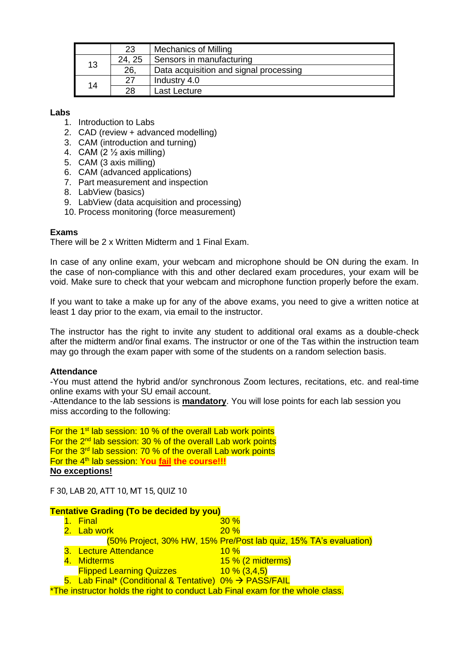|    | 23    | <b>Mechanics of Milling</b>            |  |
|----|-------|----------------------------------------|--|
| 13 | 24.25 | Sensors in manufacturing               |  |
|    | 26.   | Data acquisition and signal processing |  |
| 14 | 27    | Industry 4.0                           |  |
|    | 28    | Last Lecture                           |  |

### **Labs**

- 1. Introduction to Labs
- 2. CAD (review + advanced modelling)
- 3. CAM (introduction and turning)
- 4. CAM  $(2 \frac{1}{2})$  axis milling)
- 5. CAM (3 axis milling)
- 6. CAM (advanced applications)
- 7. Part measurement and inspection
- 8. LabView (basics)
- 9. LabView (data acquisition and processing)
- 10. Process monitoring (force measurement)

### **Exams**

There will be 2 x Written Midterm and 1 Final Exam.

In case of any online exam, your webcam and microphone should be ON during the exam. In the case of non-compliance with this and other declared exam procedures, your exam will be void. Make sure to check that your webcam and microphone function properly before the exam.

If you want to take a make up for any of the above exams, you need to give a written notice at least 1 day prior to the exam, via email to the instructor.

The instructor has the right to invite any student to additional oral exams as a double-check after the midterm and/or final exams. The instructor or one of the Tas within the instruction team may go through the exam paper with some of the students on a random selection basis.

#### **Attendance**

-You must attend the hybrid and/or synchronous Zoom lectures, recitations, etc. and real-time online exams with your SU email account.

-Attendance to the lab sessions is **mandatory**. You will lose points for each lab session you miss according to the following:

For the  $1<sup>st</sup>$  lab session: 10 % of the overall Lab work points For the  $2^{nd}$  lab session: 30 % of the overall Lab work points For the  $3<sup>rd</sup>$  lab session: 70 % of the overall Lab work points For the 4th lab session: **You fail the course!!! No exceptions!** 

F 30, LAB 20, ATT 10, MT 15, QUIZ 10

### **Tentative Grading (To be decided by you)**

|                                                                                |  | 1. Final                                               | 30%                                                               |  |  |  |
|--------------------------------------------------------------------------------|--|--------------------------------------------------------|-------------------------------------------------------------------|--|--|--|
|                                                                                |  | 2. Lab work                                            | 20%                                                               |  |  |  |
|                                                                                |  |                                                        | (50% Project, 30% HW, 15% Pre/Post lab quiz, 15% TA's evaluation) |  |  |  |
|                                                                                |  | 3. Lecture Attendance                                  | 10%                                                               |  |  |  |
|                                                                                |  | 4. Midterms                                            | $15\%$ (2 midterms)                                               |  |  |  |
|                                                                                |  | <b>Flipped Learning Quizzes</b>                        | $10\% (3,4,5)$                                                    |  |  |  |
|                                                                                |  | 5. Lab Final* (Conditional & Tentative) 0% → PASS/FAIL |                                                                   |  |  |  |
| *The instructor holds the right to conduct Lab Final exam for the whole class. |  |                                                        |                                                                   |  |  |  |